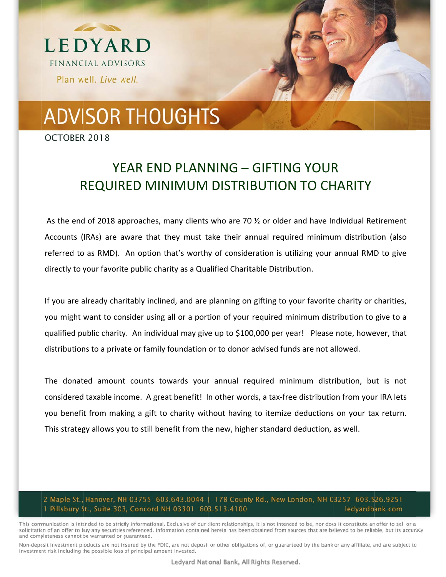

## **ADVISOR THOUGHTS**

OCTOBER 2018

## YEAR END PLANNING - GIFTING YOUR **REQUIRED MINIMUM DISTRIBUTION TO CHARITY**

As the end of 2018 approaches, many clients who are 70 % or older and have Individual Retirement Accounts (IRAs) are aware that they must take their annual required minimum distribution (also referred to as RMD). An option that's worthy of consideration is utilizing your annual RMD to give directly to your favorite public charity as a Qualified Charitable Distribution.

If you are already charitably inclined, and are planning on gifting to your favorite charity or charities, you might want to consider using all or a portion of your required minimum distribution to give to a qualified public charity. An individual may give up to \$100,000 per year! Please note, however, that distributions to a private or family foundation or to donor advised funds are not allowed.

The donated amount counts towards your annual required minimum distribution, but is not considered taxable income. A great benefit! In other words, a tax-free distribution from your IRA lets you benefit from making a gift to charity without having to itemize deductions on your tax return. This strategy allows you to still benefit from the new, higher standard deduction, as well.

## 2 Maple St., Hanover, NH 03755 603.643.0044 | 178 County Rd., New London, NH 03257 603.526.9251 1 Pillsbury St., Suite 303, Concord NH 03301 603.513.4100 ledyardbank.com

This communication is intended to be strictly informational. Exclusive of our client relationships, it is not intended to be, nor does it constitute an offer to sell or a solicitation of an offer to buy any securities referenced. Information contained herein has been obtained from sources that are believed to be reliable, but its accuracy and completeness cannot be warranted or guaranteed.

Non-deposit investment products are not insured by the FDIC, are not deposit or other obligations of, or guaranteed by the bank or any affiliate, and are subject to investment risk including the possible loss of principal amount invested.

Ledyard National Bank, All Rights Reserved.